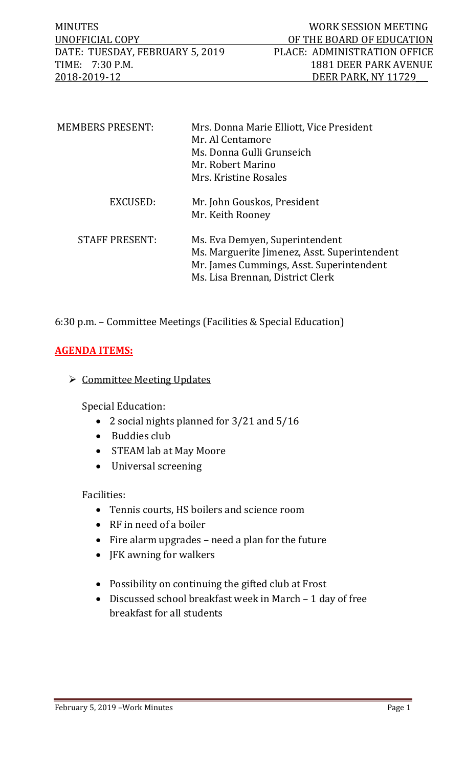MINUTES WORK SESSION MEETING<br>UNOFFICIAL COPY OF THE BOARD OF EDUCATION OF THE BOARD OF EDUCATION<br>PLACE: ADMINISTRATION OFFICE DATE: TUESDAY, FEBRUARY 5, 2019<br>TIME: 7:30 P.M. TIME: 7:30 P.M. 1881 DEER PARK AVENUE<br>2018-2019-12 DEER PARK, NY 11729 2018-2019-12 DEER PARK, NY 11729\_\_\_

| <b>MEMBERS PRESENT:</b> | Mrs. Donna Marie Elliott, Vice President<br>Mr. Al Centamore<br>Ms. Donna Gulli Grunseich<br>Mr. Robert Marino<br>Mrs. Kristine Rosales                        |
|-------------------------|----------------------------------------------------------------------------------------------------------------------------------------------------------------|
| EXCUSED:                | Mr. John Gouskos, President<br>Mr. Keith Rooney                                                                                                                |
| <b>STAFF PRESENT:</b>   | Ms. Eva Demyen, Superintendent<br>Ms. Marguerite Jimenez, Asst. Superintendent<br>Mr. James Cummings, Asst. Superintendent<br>Ms. Lisa Brennan, District Clerk |

# 6:30 p.m. – Committee Meetings (Facilities & Special Education)

## **AGENDA ITEMS:**

## $\triangleright$  Committee Meeting Updates

Special Education:

- 2 social nights planned for 3/21 and 5/16
- Buddies club
- STEAM lab at May Moore
- Universal screening

#### Facilities:

- Tennis courts, HS boilers and science room
- RF in need of a boiler
- Fire alarm upgrades need a plan for the future
- JFK awning for walkers
- Possibility on continuing the gifted club at Frost
- Discussed school breakfast week in March 1 day of free breakfast for all students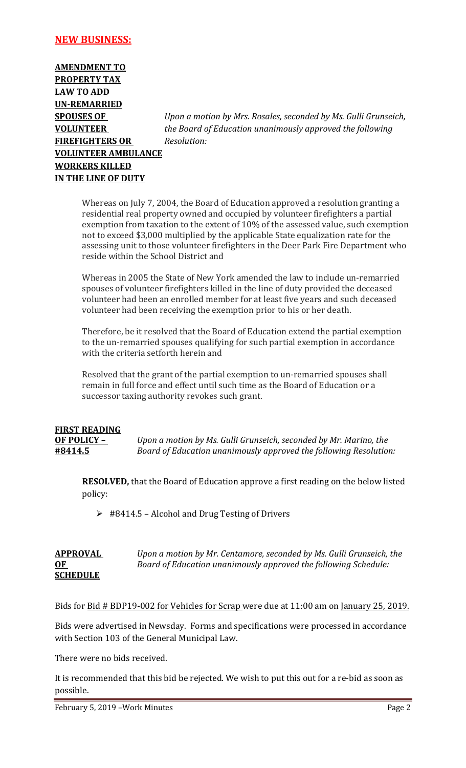#### **NEW BUSINESS:**

**AMENDMENT TO PROPERTY TAX LAW TO ADD UN-REMARRIED FIREFIGHTERS OR** *Resolution:*  **VOLUNTEER AMBULANCE WORKERS KILLED IN THE LINE OF DUTY**

**SPOUSES OF** *Upon a motion by Mrs. Rosales, seconded by Ms. Gulli Grunseich,* **VOLUNTEER** *the Board of Education unanimously approved the following* 

Whereas on July 7, 2004, the Board of Education approved a resolution granting a residential real property owned and occupied by volunteer firefighters a partial exemption from taxation to the extent of 10% of the assessed value, such exemption not to exceed \$3,000 multiplied by the applicable State equalization rate for the assessing unit to those volunteer firefighters in the Deer Park Fire Department who reside within the School District and

Whereas in 2005 the State of New York amended the law to include un-remarried spouses of volunteer firefighters killed in the line of duty provided the deceased volunteer had been an enrolled member for at least five years and such deceased volunteer had been receiving the exemption prior to his or her death.

Therefore, be it resolved that the Board of Education extend the partial exemption to the un-remarried spouses qualifying for such partial exemption in accordance with the criteria setforth herein and

Resolved that the grant of the partial exemption to un-remarried spouses shall remain in full force and effect until such time as the Board of Education or a successor taxing authority revokes such grant.

# **FIRST READING**

**OF POLICY –** *Upon a motion by Ms. Gulli Grunseich, seconded by Mr. Marino, the* **#8414.5** *Board of Education unanimously approved the following Resolution:*

**RESOLVED,** that the Board of Education approve a first reading on the below listed policy:

 $\geq$  #8414.5 – Alcohol and Drug Testing of Drivers

| <b>APPROVAL</b> | Upon a motion by Mr. Centamore, seconded by Ms. Gulli Grunseich, the |
|-----------------|----------------------------------------------------------------------|
| <u>OF</u>       | Board of Education unanimously approved the following Schedule:      |
| <b>SCHEDULE</b> |                                                                      |

Bids for Bid # BDP19-002 for Vehicles for Scrap were due at 11:00 am on January 25, 2019.

Bids were advertised in Newsday. Forms and specifications were processed in accordance with Section 103 of the General Municipal Law.

There were no bids received.

It is recommended that this bid be rejected. We wish to put this out for a re-bid as soon as possible.